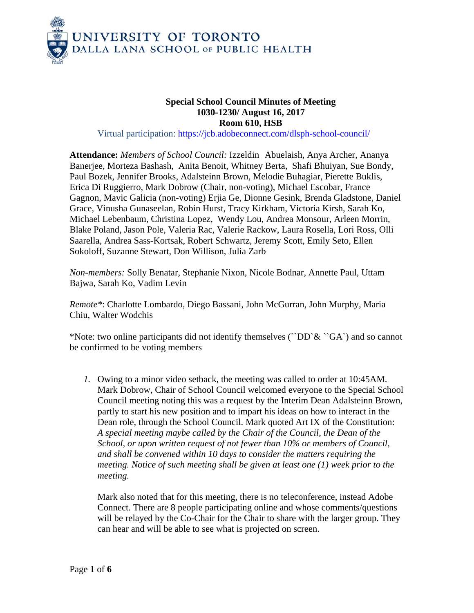

## **Special School Council Minutes of Meeting 1030-1230/ August 16, 2017 Room 610, HSB**

Virtual participation: https://jcb.adobeconnect.com/dlsph-school-council/

**Attendance:** *Members of School Council:* Izzeldin Abuelaish, Anya Archer, Ananya Banerjee, Morteza Bashash, Anita Benoit, Whitney Berta, Shafi Bhuiyan, Sue Bondy, Paul Bozek, Jennifer Brooks, Adalsteinn Brown, Melodie Buhagiar, Pierette Buklis, Erica Di Ruggierro, Mark Dobrow (Chair, non-voting), Michael Escobar, France Gagnon, Mavic Galicia (non-voting) Erjia Ge, Dionne Gesink, Brenda Gladstone, Daniel Grace, Vinusha Gunaseelan, Robin Hurst, Tracy Kirkham, Victoria Kirsh, Sarah Ko, Michael Lebenbaum, Christina Lopez, Wendy Lou, Andrea Monsour, Arleen Morrin, Blake Poland, Jason Pole, Valeria Rac, Valerie Rackow, Laura Rosella, Lori Ross, Olli Saarella, Andrea Sass-Kortsak, Robert Schwartz, Jeremy Scott, Emily Seto, Ellen Sokoloff, Suzanne Stewart, Don Willison, Julia Zarb

*Non-members:* Solly Benatar, Stephanie Nixon, Nicole Bodnar, Annette Paul, Uttam Bajwa, Sarah Ko, Vadim Levin

*Remote\**: Charlotte Lombardo, Diego Bassani, John McGurran, John Murphy, Maria Chiu, Walter Wodchis

\*Note: two online participants did not identify themselves ( $\degree$ DD $\degree$ &  $\degree$ GA $\degree$ ) and so cannot be confirmed to be voting members

*1.* Owing to a minor video setback, the meeting was called to order at 10:45AM. Mark Dobrow, Chair of School Council welcomed everyone to the Special School Council meeting noting this was a request by the Interim Dean Adalsteinn Brown, partly to start his new position and to impart his ideas on how to interact in the Dean role, through the School Council. Mark quoted Art IX of the Constitution: *A special meeting maybe called by the Chair of the Council, the Dean of the School, or upon written request of not fewer than 10% or members of Council, and shall be convened within 10 days to consider the matters requiring the meeting. Notice of such meeting shall be given at least one (1) week prior to the meeting.* 

Mark also noted that for this meeting, there is no teleconference, instead Adobe Connect. There are 8 people participating online and whose comments/questions will be relayed by the Co-Chair for the Chair to share with the larger group. They can hear and will be able to see what is projected on screen.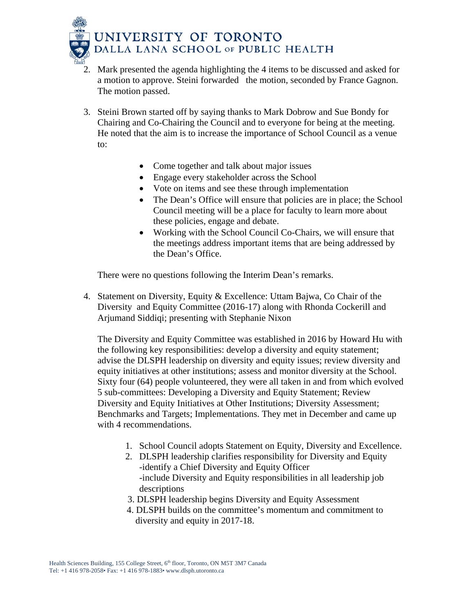

- 2. Mark presented the agenda highlighting the 4 items to be discussed and asked for a motion to approve. Steini forwarded the motion, seconded by France Gagnon. The motion passed.
- 3. Steini Brown started off by saying thanks to Mark Dobrow and Sue Bondy for Chairing and Co-Chairing the Council and to everyone for being at the meeting. He noted that the aim is to increase the importance of School Council as a venue to:
	- Come together and talk about major issues
	- Engage every stakeholder across the School
	- Vote on items and see these through implementation
	- The Dean's Office will ensure that policies are in place; the School Council meeting will be a place for faculty to learn more about these policies, engage and debate.
	- Working with the School Council Co-Chairs, we will ensure that the meetings address important items that are being addressed by the Dean's Office.

There were no questions following the Interim Dean's remarks.

4. Statement on Diversity, Equity & Excellence: Uttam Bajwa, Co Chair of the Diversity and Equity Committee (2016-17) along with Rhonda Cockerill and Arjumand Siddiqi; presenting with Stephanie Nixon

The Diversity and Equity Committee was established in 2016 by Howard Hu with the following key responsibilities: develop a diversity and equity statement; advise the DLSPH leadership on diversity and equity issues; review diversity and equity initiatives at other institutions; assess and monitor diversity at the School. Sixty four (64) people volunteered, they were all taken in and from which evolved 5 sub-committees: Developing a Diversity and Equity Statement; Review Diversity and Equity Initiatives at Other Institutions; Diversity Assessment; Benchmarks and Targets; Implementations. They met in December and came up with 4 recommendations.

- 1. School Council adopts Statement on Equity, Diversity and Excellence.
- 2. DLSPH leadership clarifies responsibility for Diversity and Equity -identify a Chief Diversity and Equity Officer -include Diversity and Equity responsibilities in all leadership job descriptions
- 3. DLSPH leadership begins Diversity and Equity Assessment
- 4. DLSPH builds on the committee's momentum and commitment to diversity and equity in 2017-18.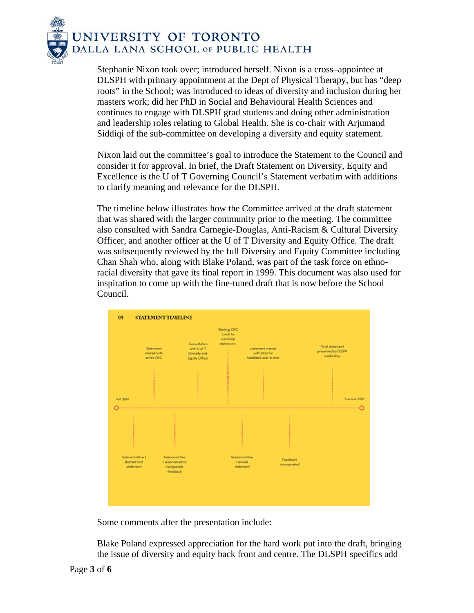

Stephanie Nixon took over; introduced herself. Nixon is a cross–appointee at DLSPH with primary appointment at the Dept of Physical Therapy, but has "deep roots" in the School; was introduced to ideas of diversity and inclusion during her masters work; did her PhD in Social and Behavioural Health Sciences and continues to engage with DLSPH grad students and doing other administration and leadership roles relating to Global Health. She is co-chair with Arjumand Siddiqi of the sub-committee on developing a diversity and equity statement.

 Nixon laid out the committee's goal to introduce the Statement to the Council and consider it for approval. In brief, the Draft Statement on Diversity, Equity and Excellence is the U of T Governing Council's Statement verbatim with additions to clarify meaning and relevance for the DLSPH.

The timeline below illustrates how the Committee arrived at the draft statement that was shared with the larger community prior to the meeting. The committee also consulted with Sandra Carnegie-Douglas, Anti-Racism & Cultural Diversity Officer, and another officer at the U of T Diversity and Equity Office. The draft was subsequently reviewed by the full Diversity and Equity Committee including Chan Shah who, along with Blake Poland, was part of the task force on ethnoracial diversity that gave its final report in 1999. This document was also used for inspiration to come up with the fine-tuned draft that is now before the School Council.



Some comments after the presentation include:

Blake Poland expressed appreciation for the hard work put into the draft, bringing the issue of diversity and equity back front and centre. The DLSPH specifics add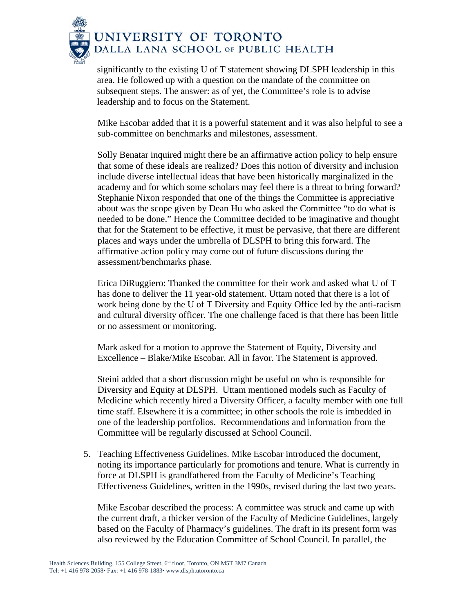

significantly to the existing U of T statement showing DLSPH leadership in this area. He followed up with a question on the mandate of the committee on subsequent steps. The answer: as of yet, the Committee's role is to advise leadership and to focus on the Statement.

Mike Escobar added that it is a powerful statement and it was also helpful to see a sub-committee on benchmarks and milestones, assessment.

Solly Benatar inquired might there be an affirmative action policy to help ensure that some of these ideals are realized? Does this notion of diversity and inclusion include diverse intellectual ideas that have been historically marginalized in the academy and for which some scholars may feel there is a threat to bring forward? Stephanie Nixon responded that one of the things the Committee is appreciative about was the scope given by Dean Hu who asked the Committee "to do what is needed to be done." Hence the Committee decided to be imaginative and thought that for the Statement to be effective, it must be pervasive, that there are different places and ways under the umbrella of DLSPH to bring this forward. The affirmative action policy may come out of future discussions during the assessment/benchmarks phase.

Erica DiRuggiero: Thanked the committee for their work and asked what U of T has done to deliver the 11 year-old statement. Uttam noted that there is a lot of work being done by the U of T Diversity and Equity Office led by the anti-racism and cultural diversity officer. The one challenge faced is that there has been little or no assessment or monitoring.

Mark asked for a motion to approve the Statement of Equity, Diversity and Excellence – Blake/Mike Escobar. All in favor. The Statement is approved.

Steini added that a short discussion might be useful on who is responsible for Diversity and Equity at DLSPH. Uttam mentioned models such as Faculty of Medicine which recently hired a Diversity Officer, a faculty member with one full time staff. Elsewhere it is a committee; in other schools the role is imbedded in one of the leadership portfolios. Recommendations and information from the Committee will be regularly discussed at School Council.

5. Teaching Effectiveness Guidelines. Mike Escobar introduced the document, noting its importance particularly for promotions and tenure. What is currently in force at DLSPH is grandfathered from the Faculty of Medicine's Teaching Effectiveness Guidelines, written in the 1990s, revised during the last two years.

Mike Escobar described the process: A committee was struck and came up with the current draft, a thicker version of the Faculty of Medicine Guidelines, largely based on the Faculty of Pharmacy's guidelines. The draft in its present form was also reviewed by the Education Committee of School Council. In parallel, the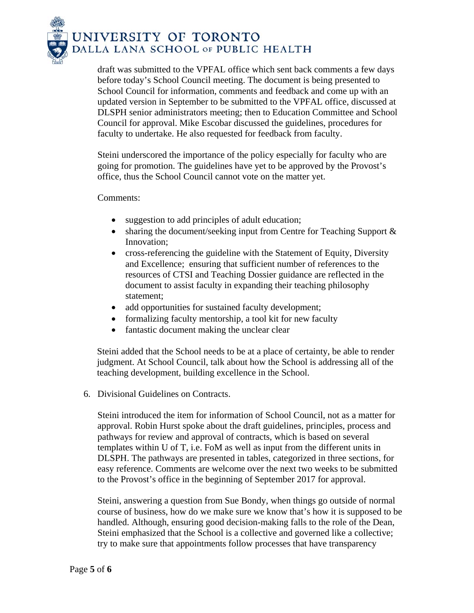

draft was submitted to the VPFAL office which sent back comments a few days before today's School Council meeting. The document is being presented to School Council for information, comments and feedback and come up with an updated version in September to be submitted to the VPFAL office, discussed at DLSPH senior administrators meeting; then to Education Committee and School Council for approval. Mike Escobar discussed the guidelines, procedures for faculty to undertake. He also requested for feedback from faculty.

Steini underscored the importance of the policy especially for faculty who are going for promotion. The guidelines have yet to be approved by the Provost's office, thus the School Council cannot vote on the matter yet.

## Comments:

- suggestion to add principles of adult education;
- sharing the document/seeking input from Centre for Teaching Support & Innovation;
- cross-referencing the guideline with the Statement of Equity, Diversity and Excellence; ensuring that sufficient number of references to the resources of CTSI and Teaching Dossier guidance are reflected in the document to assist faculty in expanding their teaching philosophy statement;
- add opportunities for sustained faculty development;
- formalizing faculty mentorship, a tool kit for new faculty
- fantastic document making the unclear clear

Steini added that the School needs to be at a place of certainty, be able to render judgment. At School Council, talk about how the School is addressing all of the teaching development, building excellence in the School.

6. Divisional Guidelines on Contracts.

Steini introduced the item for information of School Council, not as a matter for approval. Robin Hurst spoke about the draft guidelines, principles, process and pathways for review and approval of contracts, which is based on several templates within U of T, i.e. FoM as well as input from the different units in DLSPH. The pathways are presented in tables, categorized in three sections, for easy reference. Comments are welcome over the next two weeks to be submitted to the Provost's office in the beginning of September 2017 for approval.

Steini, answering a question from Sue Bondy, when things go outside of normal course of business, how do we make sure we know that's how it is supposed to be handled. Although, ensuring good decision-making falls to the role of the Dean, Steini emphasized that the School is a collective and governed like a collective; try to make sure that appointments follow processes that have transparency